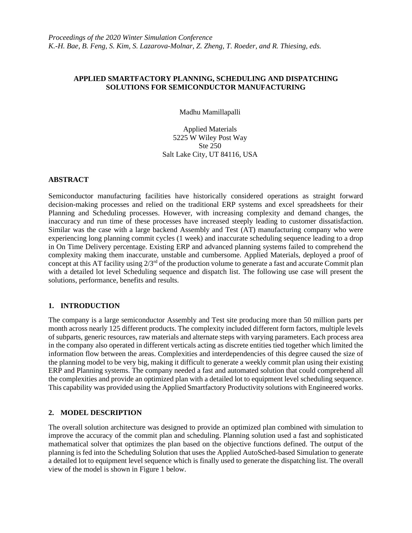#### **APPLIED SMARTFACTORY PLANNING, SCHEDULING AND DISPATCHING SOLUTIONS FOR SEMICONDUCTOR MANUFACTURING**

Madhu Mamillapalli

Applied Materials 5225 W Wiley Post Way Ste 250 Salt Lake City, UT 84116, USA

### **ABSTRACT**

Semiconductor manufacturing facilities have historically considered operations as straight forward decision-making processes and relied on the traditional ERP systems and excel spreadsheets for their Planning and Scheduling processes. However, with increasing complexity and demand changes, the inaccuracy and run time of these processes have increased steeply leading to customer dissatisfaction. Similar was the case with a large backend Assembly and Test (AT) manufacturing company who were experiencing long planning commit cycles (1 week) and inaccurate scheduling sequence leading to a drop in On Time Delivery percentage. Existing ERP and advanced planning systems failed to comprehend the complexity making them inaccurate, unstable and cumbersome. Applied Materials, deployed a proof of concept at this AT facility using  $2/3^{rd}$  of the production volume to generate a fast and accurate Commit plan with a detailed lot level Scheduling sequence and dispatch list. The following use case will present the solutions, performance, benefits and results.

### **1. INTRODUCTION**

The company is a large semiconductor Assembly and Test site producing more than 50 million parts per month across nearly 125 different products. The complexity included different form factors, multiple levels of subparts, generic resources, raw materials and alternate steps with varying parameters. Each process area in the company also operated in different verticals acting as discrete entities tied together which limited the information flow between the areas. Complexities and interdependencies of this degree caused the size of the planning model to be very big, making it difficult to generate a weekly commit plan using their existing ERP and Planning systems. The company needed a fast and automated solution that could comprehend all the complexities and provide an optimized plan with a detailed lot to equipment level scheduling sequence. This capability was provided using the Applied Smartfactory Productivity solutions with Engineered works.

# **2. MODEL DESCRIPTION**

The overall solution architecture was designed to provide an optimized plan combined with simulation to improve the accuracy of the commit plan and scheduling. Planning solution used a fast and sophisticated mathematical solver that optimizes the plan based on the objective functions defined. The output of the planning is fed into the Scheduling Solution that uses the Applied AutoSched-based Simulation to generate a detailed lot to equipment level sequence which is finally used to generate the dispatching list. The overall view of the model is shown in Figure 1 below.